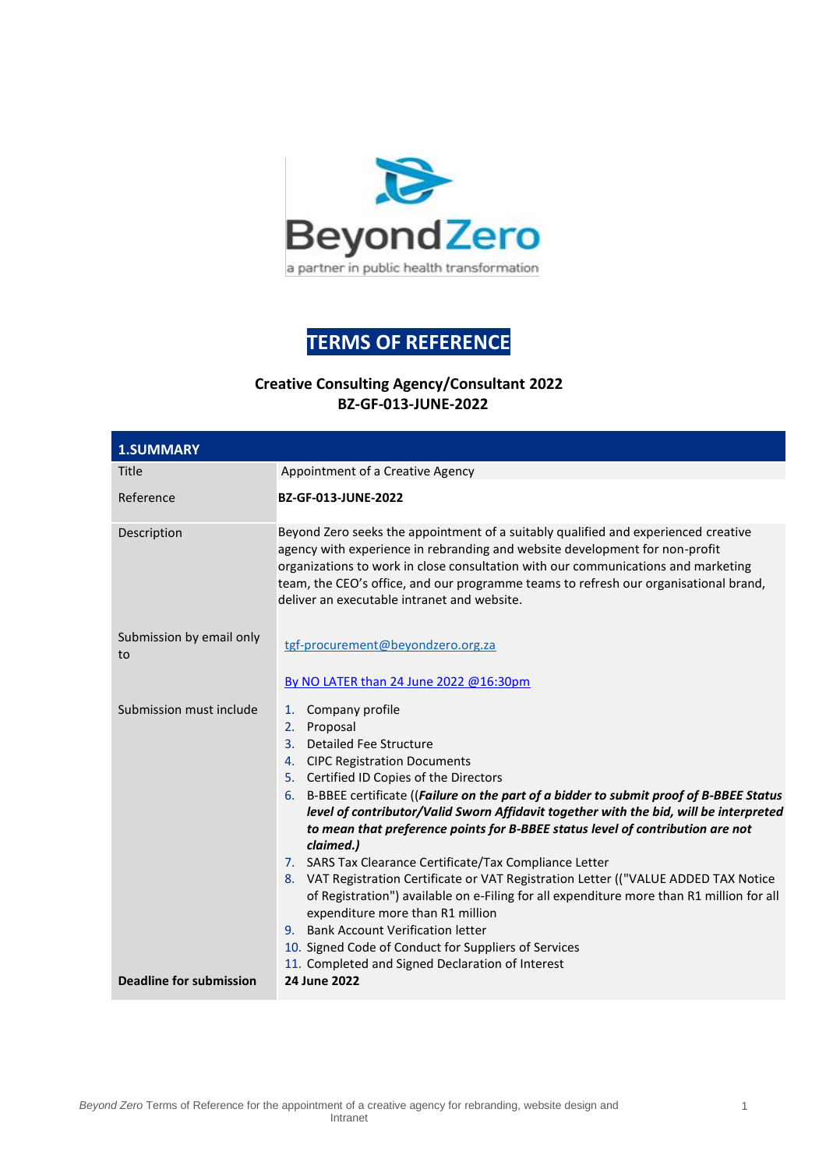

# **TERMS OF REFERENCE**

## **Creative Consulting Agency/Consultant 2022 BZ-GF-013-JUNE-2022**

| <b>1.SUMMARY</b>               |                                                                                                                                                                                                                                                                                                                                                                                                                                                                                                                                                                                                                                                                                                                                                                                                                                                                          |  |  |
|--------------------------------|--------------------------------------------------------------------------------------------------------------------------------------------------------------------------------------------------------------------------------------------------------------------------------------------------------------------------------------------------------------------------------------------------------------------------------------------------------------------------------------------------------------------------------------------------------------------------------------------------------------------------------------------------------------------------------------------------------------------------------------------------------------------------------------------------------------------------------------------------------------------------|--|--|
| Title                          | Appointment of a Creative Agency                                                                                                                                                                                                                                                                                                                                                                                                                                                                                                                                                                                                                                                                                                                                                                                                                                         |  |  |
| Reference                      | BZ-GF-013-JUNE-2022                                                                                                                                                                                                                                                                                                                                                                                                                                                                                                                                                                                                                                                                                                                                                                                                                                                      |  |  |
| Description                    | Beyond Zero seeks the appointment of a suitably qualified and experienced creative<br>agency with experience in rebranding and website development for non-profit<br>organizations to work in close consultation with our communications and marketing<br>team, the CEO's office, and our programme teams to refresh our organisational brand,<br>deliver an executable intranet and website.                                                                                                                                                                                                                                                                                                                                                                                                                                                                            |  |  |
| Submission by email only<br>to | tgf-procurement@beyondzero.org.za<br>By NO LATER than 24 June 2022 @16:30pm                                                                                                                                                                                                                                                                                                                                                                                                                                                                                                                                                                                                                                                                                                                                                                                              |  |  |
| Submission must include        | Company profile<br>1.<br>2. Proposal<br>3. Detailed Fee Structure<br>4. CIPC Registration Documents<br>5. Certified ID Copies of the Directors<br>6. B-BBEE certificate ((Failure on the part of a bidder to submit proof of B-BBEE Status<br>level of contributor/Valid Sworn Affidavit together with the bid, will be interpreted<br>to mean that preference points for B-BBEE status level of contribution are not<br>claimed.)<br>7. SARS Tax Clearance Certificate/Tax Compliance Letter<br>8. VAT Registration Certificate or VAT Registration Letter (("VALUE ADDED TAX Notice<br>of Registration") available on e-Filing for all expenditure more than R1 million for all<br>expenditure more than R1 million<br>9. Bank Account Verification letter<br>10. Signed Code of Conduct for Suppliers of Services<br>11. Completed and Signed Declaration of Interest |  |  |
| <b>Deadline for submission</b> | 24 June 2022                                                                                                                                                                                                                                                                                                                                                                                                                                                                                                                                                                                                                                                                                                                                                                                                                                                             |  |  |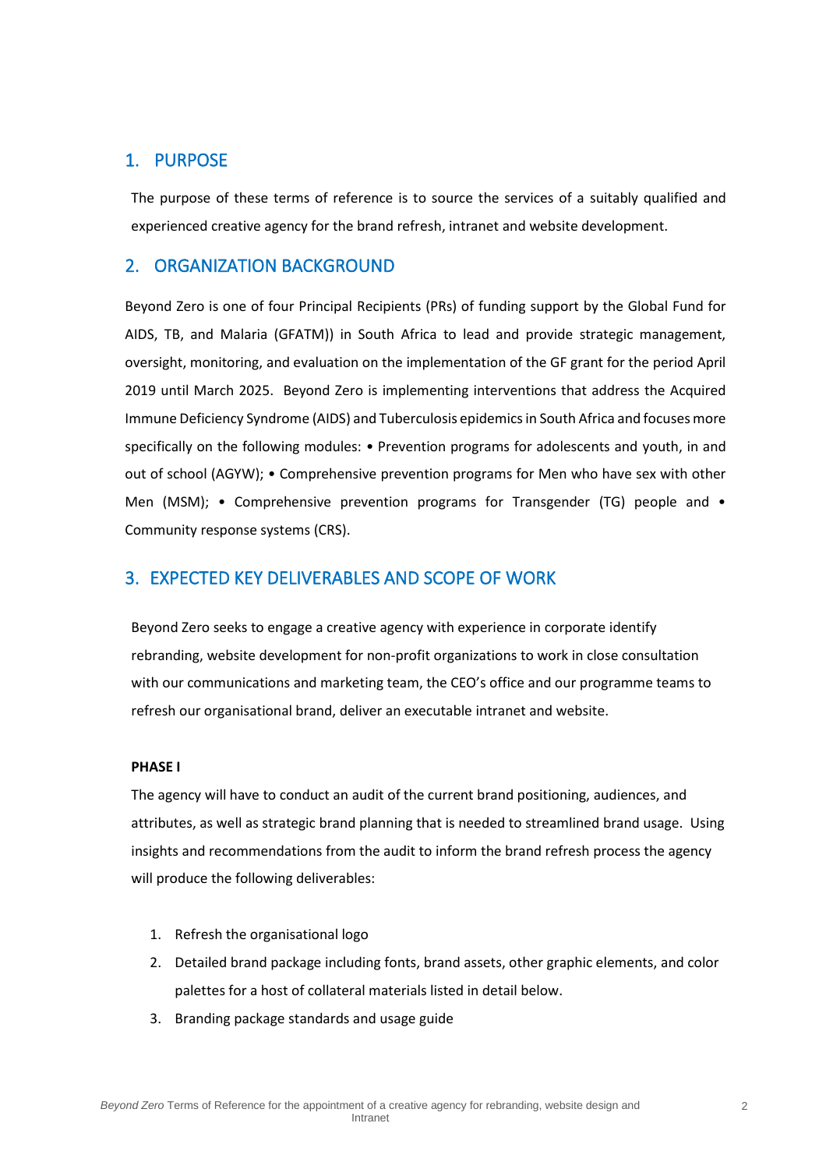## 1. PURPOSE

The purpose of these terms of reference is to source the services of a suitably qualified and experienced creative agency for the brand refresh, intranet and website development.

## 2. ORGANIZATION BACKGROUND

Beyond Zero is one of four Principal Recipients (PRs) of funding support by the Global Fund for AIDS, TB, and Malaria (GFATM)) in South Africa to lead and provide strategic management, oversight, monitoring, and evaluation on the implementation of the GF grant for the period April 2019 until March 2025. Beyond Zero is implementing interventions that address the Acquired Immune Deficiency Syndrome (AIDS) and Tuberculosis epidemics in South Africa and focuses more specifically on the following modules: • Prevention programs for adolescents and youth, in and out of school (AGYW); • Comprehensive prevention programs for Men who have sex with other Men (MSM); • Comprehensive prevention programs for Transgender (TG) people and • Community response systems (CRS).

## 3. EXPECTED KEY DELIVERABLES AND SCOPE OF WORK

Beyond Zero seeks to engage a creative agency with experience in corporate identify rebranding, website development for non-profit organizations to work in close consultation with our communications and marketing team, the CEO's office and our programme teams to refresh our organisational brand, deliver an executable intranet and website.

### **PHASE I**

The agency will have to conduct an audit of the current brand positioning, audiences, and attributes, as well as strategic brand planning that is needed to streamlined brand usage. Using insights and recommendations from the audit to inform the brand refresh process the agency will produce the following deliverables:

- 1. Refresh the organisational logo
- 2. Detailed brand package including fonts, brand assets, other graphic elements, and color palettes for a host of collateral materials listed in detail below.
- 3. Branding package standards and usage guide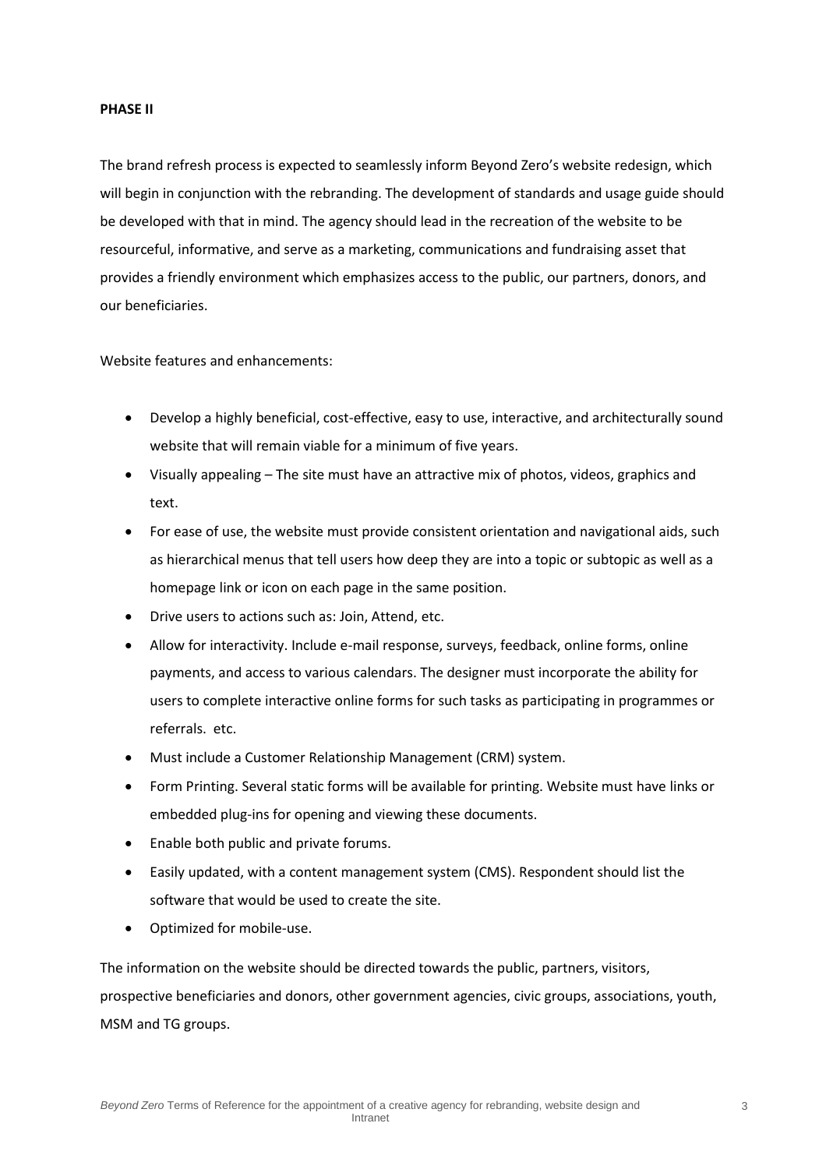#### **PHASE II**

The brand refresh process is expected to seamlessly inform Beyond Zero's website redesign, which will begin in conjunction with the rebranding. The development of standards and usage guide should be developed with that in mind. The agency should lead in the recreation of the website to be resourceful, informative, and serve as a marketing, communications and fundraising asset that provides a friendly environment which emphasizes access to the public, our partners, donors, and our beneficiaries.

Website features and enhancements:

- Develop a highly beneficial, cost-effective, easy to use, interactive, and architecturally sound website that will remain viable for a minimum of five years.
- Visually appealing The site must have an attractive mix of photos, videos, graphics and text.
- For ease of use, the website must provide consistent orientation and navigational aids, such as hierarchical menus that tell users how deep they are into a topic or subtopic as well as a homepage link or icon on each page in the same position.
- Drive users to actions such as: Join, Attend, etc.
- Allow for interactivity. Include e-mail response, surveys, feedback, online forms, online payments, and access to various calendars. The designer must incorporate the ability for users to complete interactive online forms for such tasks as participating in programmes or referrals. etc.
- Must include a Customer Relationship Management (CRM) system.
- Form Printing. Several static forms will be available for printing. Website must have links or embedded plug-ins for opening and viewing these documents.
- Enable both public and private forums.
- Easily updated, with a content management system (CMS). Respondent should list the software that would be used to create the site.
- Optimized for mobile-use.

The information on the website should be directed towards the public, partners, visitors, prospective beneficiaries and donors, other government agencies, civic groups, associations, youth, MSM and TG groups.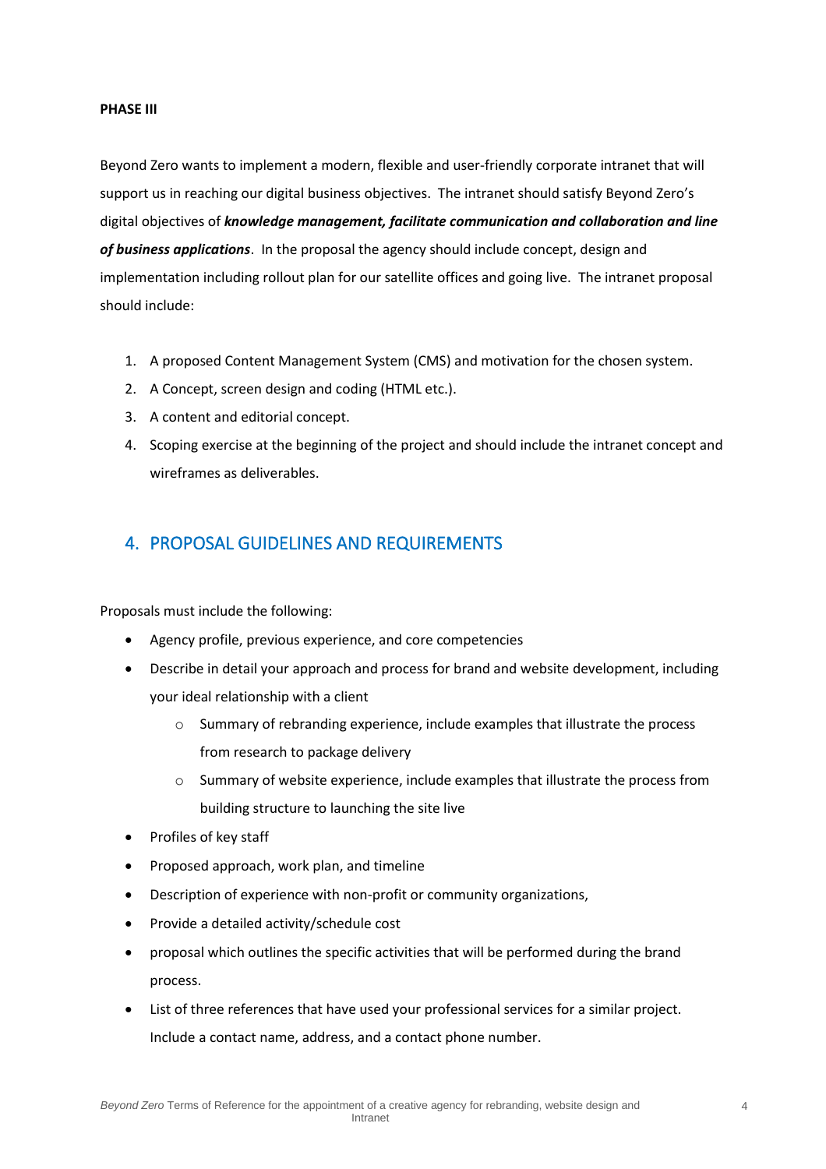#### **PHASE III**

Beyond Zero wants to implement a modern, flexible and user-friendly corporate intranet that will support us in reaching our digital business objectives. The intranet should satisfy Beyond Zero's digital objectives of *knowledge management, facilitate communication and collaboration and line of business applications*. In the proposal the agency should include concept, design and implementation including rollout plan for our satellite offices and going live. The intranet proposal should include:

- 1. A proposed Content Management System (CMS) and motivation for the chosen system.
- 2. A Concept, screen design and coding (HTML etc.).
- 3. A content and editorial concept.
- 4. Scoping exercise at the beginning of the project and should include the intranet concept and wireframes as deliverables.

## 4. PROPOSAL GUIDELINES AND REQUIREMENTS

Proposals must include the following:

- Agency profile, previous experience, and core competencies
- Describe in detail your approach and process for brand and website development, including your ideal relationship with a client
	- o Summary of rebranding experience, include examples that illustrate the process from research to package delivery
	- o Summary of website experience, include examples that illustrate the process from building structure to launching the site live
- Profiles of key staff
- Proposed approach, work plan, and timeline
- Description of experience with non-profit or community organizations,
- Provide a detailed activity/schedule cost
- proposal which outlines the specific activities that will be performed during the brand process.
- List of three references that have used your professional services for a similar project. Include a contact name, address, and a contact phone number.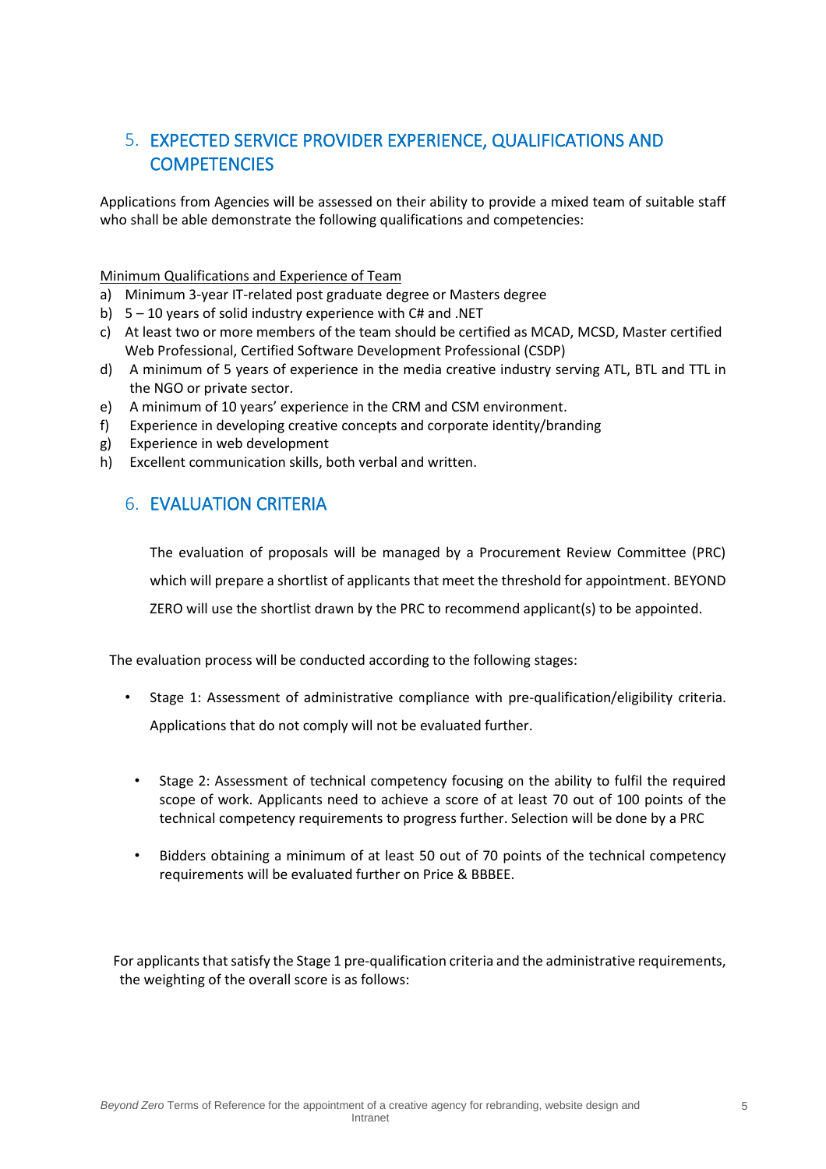## 5. EXPECTED SERVICE PROVIDER EXPERIENCE, QUALIFICATIONS AND **COMPETENCIES**

Applications from Agencies will be assessed on their ability to provide a mixed team of suitable staff who shall be able demonstrate the following qualifications and competencies:

### Minimum Qualifications and Experience of Team

- a) Minimum 3-year IT-related post graduate degree or Masters degree
- b) 5 10 years of solid industry experience with C# and .NET
- c) At least two or more members of the team should be certified as MCAD, MCSD, Master certified Web Professional, Certified Software Development Professional (CSDP)
- d) A minimum of 5 years of experience in the media creative industry serving ATL, BTL and TTL in the NGO or private sector.
- e) A minimum of 10 years' experience in the CRM and CSM environment.
- f) Experience in developing creative concepts and corporate identity/branding
- g) Experience in web development
- h) Excellent communication skills, both verbal and written.

## 6. EVALUATION CRITERIA

The evaluation of proposals will be managed by a Procurement Review Committee (PRC) which will prepare a shortlist of applicants that meet the threshold for appointment. BEYOND ZERO will use the shortlist drawn by the PRC to recommend applicant(s) to be appointed.

The evaluation process will be conducted according to the following stages:

- Stage 1: Assessment of administrative compliance with pre-qualification/eligibility criteria. Applications that do not comply will not be evaluated further.
- Stage 2: Assessment of technical competency focusing on the ability to fulfil the required scope of work. Applicants need to achieve a score of at least 70 out of 100 points of the technical competency requirements to progress further. Selection will be done by a PRC
- Bidders obtaining a minimum of at least 50 out of 70 points of the technical competency requirements will be evaluated further on Price & BBBEE.

For applicants that satisfy the Stage 1 pre-qualification criteria and the administrative requirements, the weighting of the overall score is as follows: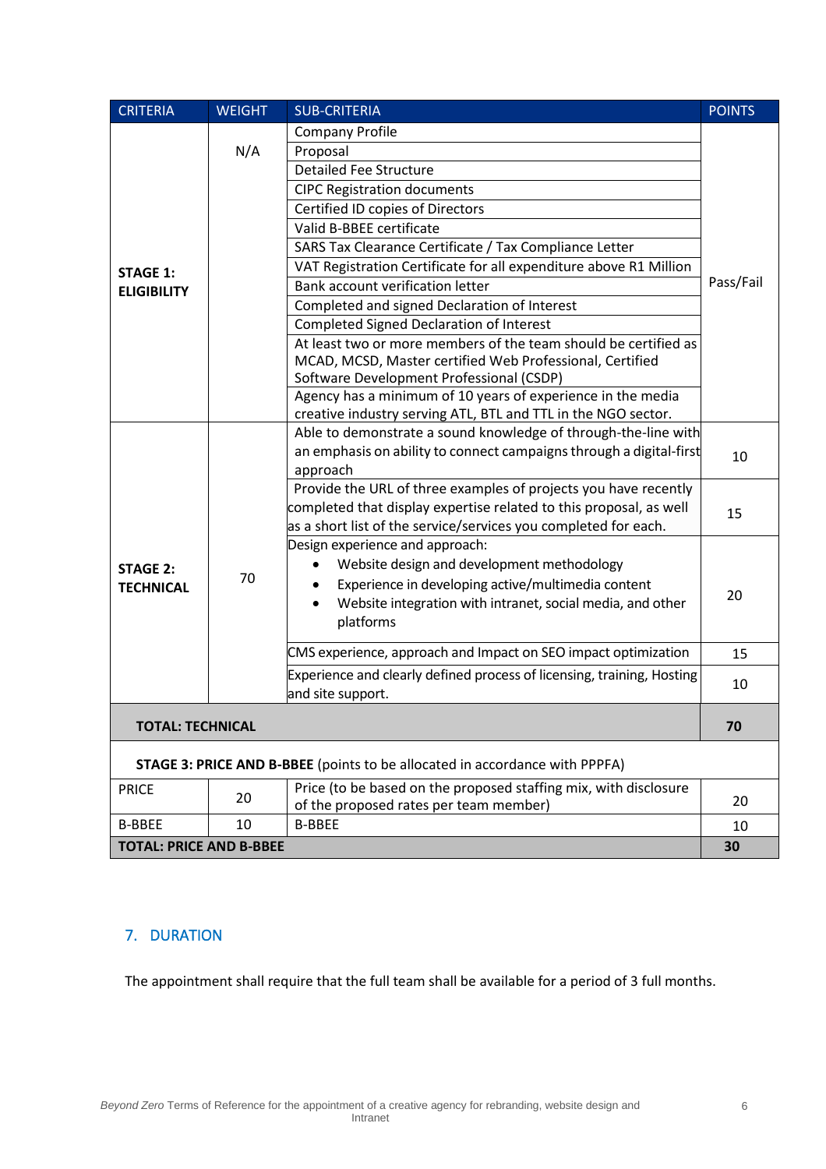| <b>CRITERIA</b>                                                             | <b>WEIGHT</b> | <b>SUB-CRITERIA</b>                                                         | <b>POINTS</b> |  |
|-----------------------------------------------------------------------------|---------------|-----------------------------------------------------------------------------|---------------|--|
| <b>STAGE 1:</b><br><b>ELIGIBILITY</b>                                       | N/A           | <b>Company Profile</b>                                                      |               |  |
|                                                                             |               | Proposal                                                                    |               |  |
|                                                                             |               | <b>Detailed Fee Structure</b>                                               |               |  |
|                                                                             |               | <b>CIPC Registration documents</b>                                          |               |  |
|                                                                             |               | Certified ID copies of Directors                                            |               |  |
|                                                                             |               | Valid B-BBEE certificate                                                    |               |  |
|                                                                             |               | SARS Tax Clearance Certificate / Tax Compliance Letter                      |               |  |
|                                                                             |               | VAT Registration Certificate for all expenditure above R1 Million           | Pass/Fail     |  |
|                                                                             |               | Bank account verification letter                                            |               |  |
|                                                                             |               | Completed and signed Declaration of Interest                                |               |  |
|                                                                             |               | <b>Completed Signed Declaration of Interest</b>                             |               |  |
|                                                                             |               | At least two or more members of the team should be certified as             |               |  |
|                                                                             |               | MCAD, MCSD, Master certified Web Professional, Certified                    |               |  |
|                                                                             |               | Software Development Professional (CSDP)                                    |               |  |
|                                                                             |               | Agency has a minimum of 10 years of experience in the media                 |               |  |
|                                                                             |               | creative industry serving ATL, BTL and TTL in the NGO sector.               |               |  |
| <b>STAGE 2:</b><br><b>TECHNICAL</b>                                         |               | Able to demonstrate a sound knowledge of through-the-line with              | 10            |  |
|                                                                             |               | an emphasis on ability to connect campaigns through a digital-first         |               |  |
|                                                                             | 70            | approach<br>Provide the URL of three examples of projects you have recently |               |  |
|                                                                             |               | completed that display expertise related to this proposal, as well          | 15            |  |
|                                                                             |               | as a short list of the service/services you completed for each.             |               |  |
|                                                                             |               | Design experience and approach:                                             |               |  |
|                                                                             |               | Website design and development methodology                                  |               |  |
|                                                                             |               | Experience in developing active/multimedia content                          | 20            |  |
|                                                                             |               | Website integration with intranet, social media, and other                  |               |  |
|                                                                             |               | platforms                                                                   |               |  |
|                                                                             |               |                                                                             |               |  |
|                                                                             |               | CMS experience, approach and Impact on SEO impact optimization              | 15            |  |
|                                                                             |               | Experience and clearly defined process of licensing, training, Hosting      | 10            |  |
|                                                                             |               | and site support.                                                           |               |  |
| <b>TOTAL: TECHNICAL</b>                                                     |               |                                                                             | 70            |  |
| STAGE 3: PRICE AND B-BBEE (points to be allocated in accordance with PPPFA) |               |                                                                             |               |  |
| <b>PRICE</b>                                                                | 20            | Price (to be based on the proposed staffing mix, with disclosure            |               |  |
|                                                                             |               | of the proposed rates per team member)                                      | 20            |  |
| <b>B-BBEE</b>                                                               | 10            | <b>B-BBEE</b>                                                               | 10            |  |
| <b>TOTAL: PRICE AND B-BBEE</b>                                              |               |                                                                             | 30            |  |

## 7. DURATION

The appointment shall require that the full team shall be available for a period of 3 full months.